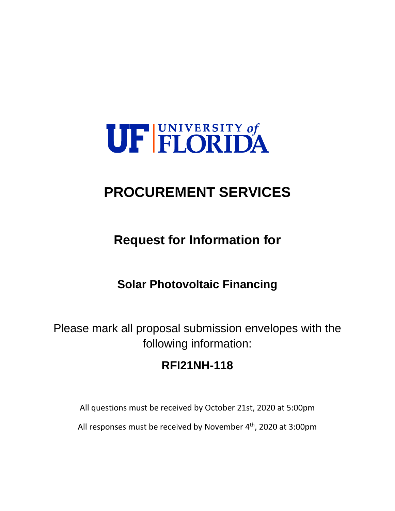

# **PROCUREMENT SERVICES**

**Request for Information for**

## **Solar Photovoltaic Financing**

Please mark all proposal submission envelopes with the following information:

### **RFI21NH-118**

All questions must be received by October 21st, 2020 at 5:00pm

All responses must be received by November 4<sup>th</sup>, 2020 at 3:00pm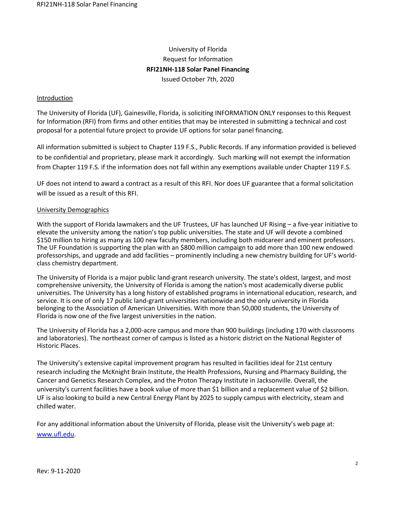### University of Florida Request for Information **RFI21NH-118 Solar Panel Financing** Issued October 7th, 2020

#### **Introduction**

The University of Florida (UF), Gainesville, Florida, is soliciting INFORMATION ONLY responses to this Request for Information (RFI) from firms and other entities that may be interested in submitting a technical and cost proposal for a potential future project to provide UF options for solar panel financing.

All information submitted is subject to Chapter 119 F.S., Public Records. If any information provided is believed to be confidential and proprietary, please mark it accordingly. Such marking will not exempt the information from Chapter 119 F.S. if the information does not fall within any exemptions available under Chapter 119 F.S.

UF does not intend to award a contract as a result of this RFI. Nor does UF guarantee that a formal solicitation will be issued as a result of this RFI.

#### University Demographics

With the support of Florida lawmakers and the UF Trustees, UF has launched UF Rising – a five-year initiative to elevate the university among the nation's top public universities. The state and UF will devote a combined \$150 million to hiring as many as 100 new faculty members, including both midcareer and eminent professors. The UF Foundation is supporting the plan with an \$800 million campaign to add more than 100 new endowed professorships, and upgrade and add facilities – prominently including a new chemistry building for UF's worldclass chemistry department.

The University of Florida is a major public land-grant research university. The state's oldest, largest, and most comprehensive university, the University of Florida is among the nation's most academically diverse public universities. The University has a long history of established programs in international education, research, and service. It is one of only 17 public land-grant universities nationwide and the only university in Florida belonging to the Association of American Universities. With more than 50,000 students, the University of Florida is now one of the five largest universities in the nation.

The University of Florida has a 2,000-acre campus and more than 900 buildings (including 170 with classrooms and laboratories). The northeast corner of campus is listed as a historic district on the National Register of Historic Places.

The University's extensive capital improvement program has resulted in facilities ideal for 21st century research including the McKnight Brain Institute, the Health Professions, Nursing and Pharmacy Building, the Cancer and Genetics Research Complex, and the Proton Therapy Institute in Jacksonville. Overall, the university's current facilities have a book value of more than \$1 billion and a replacement value of \$2 billion. UF is also looking to build a new Central Energy Plant by 2025 to supply campus with electricity, steam and chilled water.

For any additional information about the University of Florida, please visit the University's web page at: [www.ufl.edu.](http://www.ufl.edu/)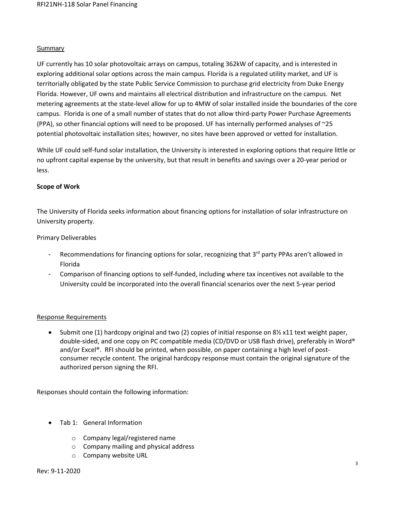#### Summary

UF currently has 10 solar photovoltaic arrays on campus, totaling 362kW of capacity, and is interested in exploring additional solar options across the main campus. Florida is a regulated utility market, and UF is territorially obligated by the state Public Service Commission to purchase grid electricity from Duke Energy Florida. However, UF owns and maintains all electrical distribution and infrastructure on the campus. Net metering agreements at the state-level allow for up to 4MW of solar installed inside the boundaries of the core campus. Florida is one of a small number of states that do not allow third-party Power Purchase Agreements (PPA), so other financial options will need to be proposed. UF has internally performed analyses of ~25 potential photovoltaic installation sites; however, no sites have been approved or vetted for installation.

While UF could self-fund solar installation, the University is interested in exploring options that require little or no upfront capital expense by the university, but that result in benefits and savings over a 20-year period or less.

#### **Scope of Work**

The University of Florida seeks information about financing options for installation of solar infrastructure on University property.

#### Primary Deliverables

- Recommendations for financing options for solar, recognizing that 3<sup>rd</sup> party PPAs aren't allowed in Florida
- Comparison of financing options to self-funded, including where tax incentives not available to the University could be incorporated into the overall financial scenarios over the next 5-year period

#### Response Requirements

• Submit one (1) hardcopy original and two (2) copies of initial response on 8½ x11 text weight paper, double-sided, and one copy on PC compatible media (CD/DVD or USB flash drive), preferably in Word® and/or Excel®. RFI should be printed, when possible, on paper containing a high level of postconsumer recycle content. The original hardcopy response must contain the original signature of the authorized person signing the RFI.

Responses should contain the following information:

- Tab 1: General Information
	- o Company legal/registered name
	- o Company mailing and physical address
	- o Company website URL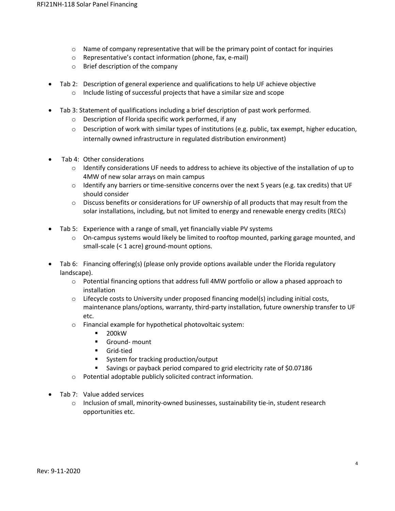- $\circ$  Name of company representative that will be the primary point of contact for inquiries
- o Representative's contact information (phone, fax, e-mail)
- o Brief description of the company
- Tab 2: Description of general experience and qualifications to help UF achieve objective
	- o Include listing of successful projects that have a similar size and scope
- Tab 3: Statement of qualifications including a brief description of past work performed.
	- o Description of Florida specific work performed, if any
	- $\circ$  Description of work with similar types of institutions (e.g. public, tax exempt, higher education, internally owned infrastructure in regulated distribution environment)
- Tab 4: Other considerations
	- o Identify considerations UF needs to address to achieve its objective of the installation of up to 4MW of new solar arrays on main campus
	- $\circ$  Identify any barriers or time-sensitive concerns over the next 5 years (e.g. tax credits) that UF should consider
	- $\circ$  Discuss benefits or considerations for UF ownership of all products that may result from the solar installations, including, but not limited to energy and renewable energy credits (RECs)
- Tab 5: Experience with a range of small, yet financially viable PV systems
	- o On-campus systems would likely be limited to rooftop mounted, parking garage mounted, and small-scale (< 1 acre) ground-mount options.
- Tab 6: Financing offering(s) (please only provide options available under the Florida regulatory landscape).
	- o Potential financing options that address full 4MW portfolio or allow a phased approach to installation
	- $\circ$  Lifecycle costs to University under proposed financing model(s) including initial costs, maintenance plans/options, warranty, third-party installation, future ownership transfer to UF etc.
	- o Financial example for hypothetical photovoltaic system:
		- 200kW
		- Ground- mount
		- Grid-tied
		- System for tracking production/output
		- Savings or payback period compared to grid electricity rate of \$0.07186
	- o Potential adoptable publicly solicited contract information.
- Tab 7: Value added services
	- o Inclusion of small, minority-owned businesses, sustainability tie-in, student research opportunities etc.